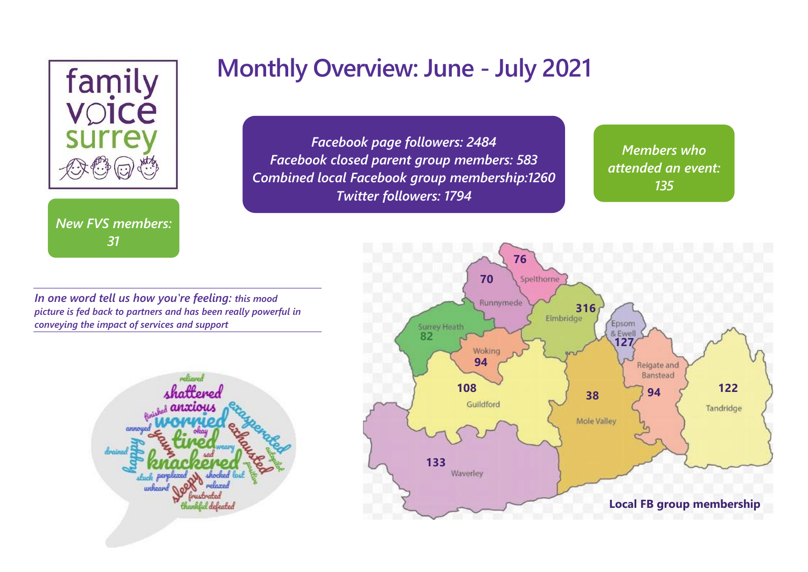

*New FVS members: 31*

# **Monthly Overview: June - July 2021**

*Facebook page followers: 2484 Facebook closed parent group members: 583 Combined local Facebook group membership:1260 Twitter followers: 1794*

*Members who attended an event: 135*

*49*

*In one word tell us how you're feeling: this mood picture is fed back to partners and has been really powerful in conveying the impact of services and support*



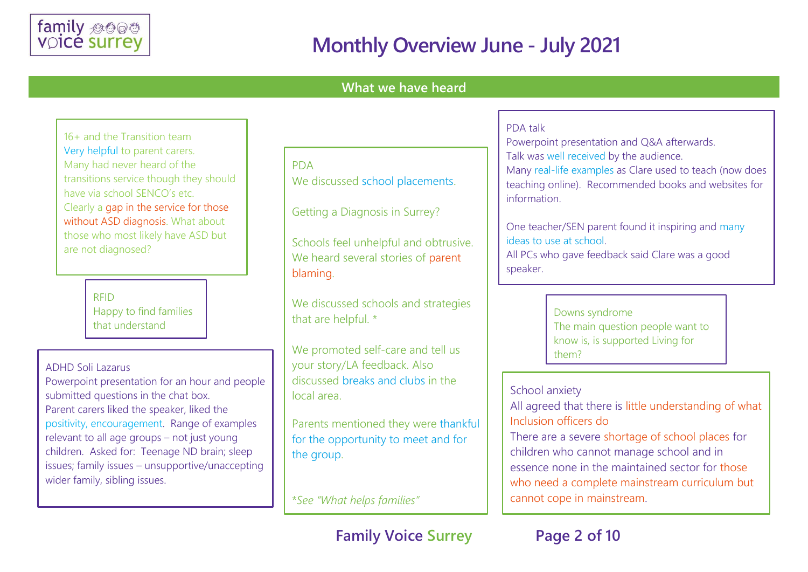

#### **What we have heard**

16+ and the Transition team Very helpful to parent carers. Many had never heard of the transitions service though they should have via school SENCO's etc. Clearly a gap in the service for those without ASD diagnosis. What about those who most likely have ASD but are not diagnosed?

> RFID Happy to find families that understand

ADHD Soli Lazarus

Powerpoint presentation for an hour and people submitted questions in the chat box. Parent carers liked the speaker, liked the positivity, encouragement. Range of examples relevant to all age groups – not just young children. Asked for: Teenage ND brain; sleep issues; family issues – unsupportive/unaccepting wider family, sibling issues.

PDA We discussed school placements.

Getting a Diagnosis in Surrey?

Schools feel unhelpful and obtrusive. We heard several stories of parent blaming.

We discussed schools and strategies that are helpful. \*

We promoted self-care and tell us your story/LA feedback. Also discussed breaks and clubs in the local area.

Parents mentioned they were thankful for the opportunity to meet and for the group.

\**See "What helps families"*

#### **Family Voice Surrey Page 2 of 10**

#### PDA talk

Powerpoint presentation and Q&A afterwards. Talk was well received by the audience. Many real-life examples as Clare used to teach (now does teaching online). Recommended books and websites for information.

One teacher/SEN parent found it inspiring and many ideas to use at school.

All PCs who gave feedback said Clare was a good speaker.

> Downs syndrome The main question people want to know is, is supported Living for them?

School anxiety

All agreed that there is little understanding of what Inclusion officers do

There are a severe shortage of school places for children who cannot manage school and in essence none in the maintained sector for those who need a complete mainstream curriculum but cannot cope in mainstream.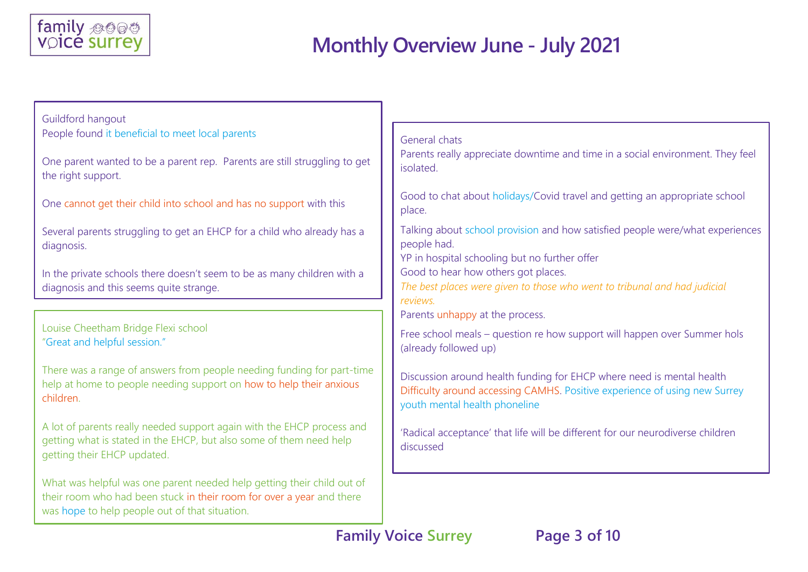

| Guildford hangout                                                                                                                                                                                 |                                                                                                                                                                                      |
|---------------------------------------------------------------------------------------------------------------------------------------------------------------------------------------------------|--------------------------------------------------------------------------------------------------------------------------------------------------------------------------------------|
| People found it beneficial to meet local parents                                                                                                                                                  | General chats                                                                                                                                                                        |
| One parent wanted to be a parent rep. Parents are still struggling to get<br>the right support.                                                                                                   | Parents really appreciate downtime and time in a social environment. They feel<br>isolated.                                                                                          |
| One cannot get their child into school and has no support with this                                                                                                                               | Good to chat about holidays/Covid travel and getting an appropriate school<br>place.                                                                                                 |
| Several parents struggling to get an EHCP for a child who already has a<br>diagnosis.                                                                                                             | Talking about school provision and how satisfied people were/what experiences<br>people had.                                                                                         |
| In the private schools there doesn't seem to be as many children with a<br>diagnosis and this seems quite strange.                                                                                | YP in hospital schooling but no further offer<br>Good to hear how others got places.<br>The best places were given to those who went to tribunal and had judicial<br>reviews.        |
|                                                                                                                                                                                                   | Parents unhappy at the process.                                                                                                                                                      |
| Louise Cheetham Bridge Flexi school<br>"Great and helpful session."                                                                                                                               | Free school meals - question re how support will happen over Summer hols<br>(already followed up)                                                                                    |
| There was a range of answers from people needing funding for part-time<br>help at home to people needing support on how to help their anxious<br>children.                                        | Discussion around health funding for EHCP where need is mental health<br>Difficulty around accessing CAMHS. Positive experience of using new Surrey<br>youth mental health phoneline |
| A lot of parents really needed support again with the EHCP process and<br>getting what is stated in the EHCP, but also some of them need help<br>getting their EHCP updated.                      | 'Radical acceptance' that life will be different for our neurodiverse children<br>discussed                                                                                          |
| What was helpful was one parent needed help getting their child out of<br>their room who had been stuck in their room for over a year and there<br>was hope to help people out of that situation. |                                                                                                                                                                                      |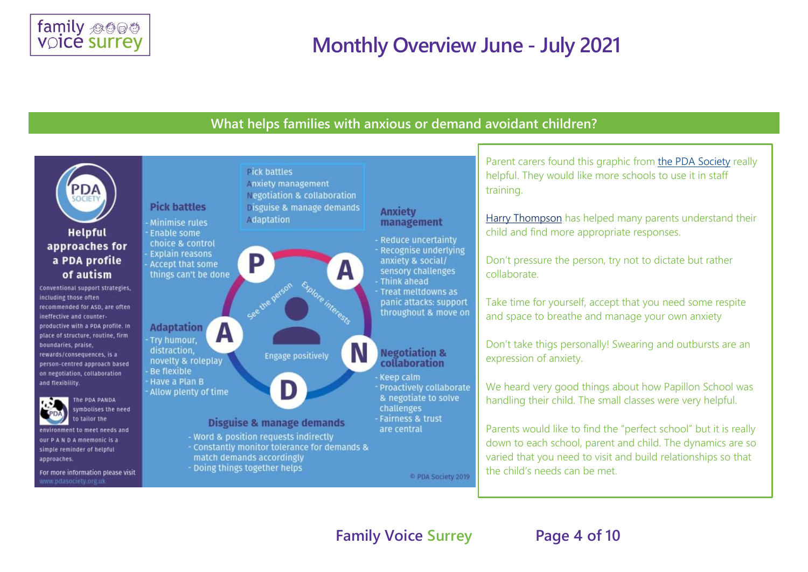

#### **What helps families with anxious or demand avoidant children?**

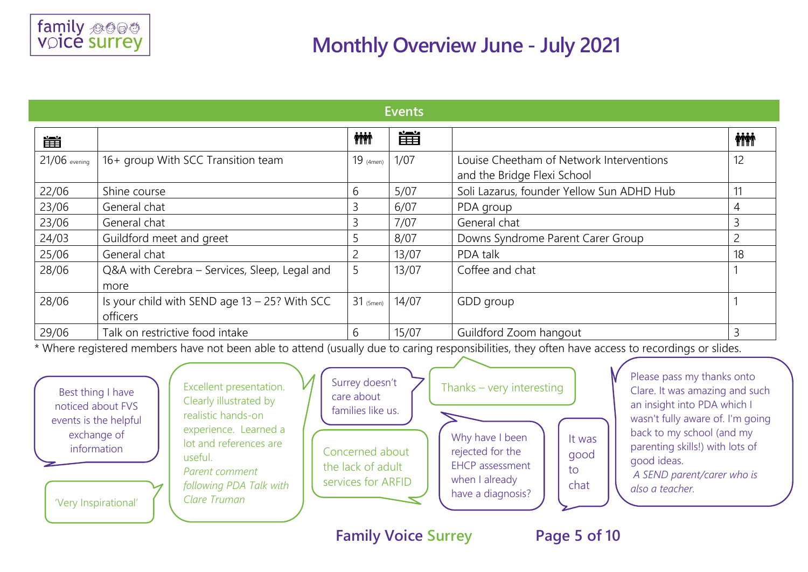

| <b>Events</b>   |                                                              |              |       |                                                                                                                                                 |              |
|-----------------|--------------------------------------------------------------|--------------|-------|-------------------------------------------------------------------------------------------------------------------------------------------------|--------------|
| 雦               |                                                              | <b>inini</b> | 簠     |                                                                                                                                                 | <b>inini</b> |
| $21/06$ evening | 16+ group With SCC Transition team                           | $19$ (4men)  | 1/07  | Louise Cheetham of Network Interventions<br>and the Bridge Flexi School                                                                         | 12           |
| 22/06           | Shine course                                                 | 6            | 5/07  | Soli Lazarus, founder Yellow Sun ADHD Hub                                                                                                       |              |
| 23/06           | General chat                                                 |              | 6/07  | PDA group                                                                                                                                       | 4            |
| 23/06           | General chat                                                 |              | 7/07  | General chat                                                                                                                                    |              |
| 24/03           | Guildford meet and greet                                     |              | 8/07  | Downs Syndrome Parent Carer Group                                                                                                               |              |
| 25/06           | General chat                                                 |              | 13/07 | PDA talk                                                                                                                                        | 18           |
| 28/06           | Q&A with Cerebra – Services, Sleep, Legal and<br>more        | 5            | 13/07 | Coffee and chat                                                                                                                                 |              |
| 28/06           | Is your child with SEND age $13 - 25$ ? With SCC<br>officers | $31$ (5men)  | 14/07 | GDD group                                                                                                                                       |              |
| 29/06           | Talk on restrictive food intake                              | 6            | 15/07 | Guildford Zoom hangout                                                                                                                          |              |
|                 |                                                              |              |       | * Where registered members have not been able to attend (usually due to saring responsibilities, they often have assess to reservings or slides |              |

\* Where registered members have not been able to attend (usually due to caring responsibilities, they often have access to recordings or slides.



**Family Voice Surrey Page 5 of 10**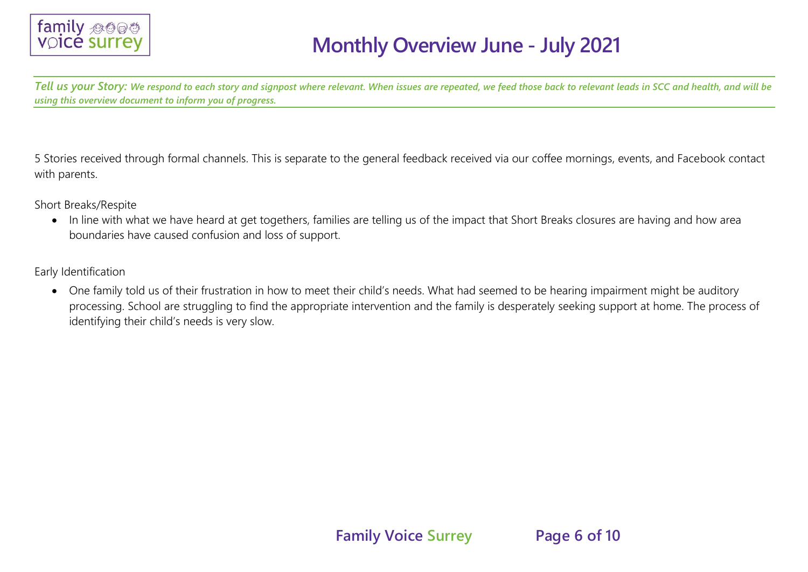

*Tell us your Story: We respond to each story and signpost where relevant. When issues are repeated, we feed those back to relevant leads in SCC and health, and will be using this overview document to inform you of progress.*

5 Stories received through formal channels. This is separate to the general feedback received via our coffee mornings, events, and Facebook contact with parents.

Short Breaks/Respite

• In line with what we have heard at get togethers, families are telling us of the impact that Short Breaks closures are having and how area boundaries have caused confusion and loss of support.

Early Identification

• One family told us of their frustration in how to meet their child's needs. What had seemed to be hearing impairment might be auditory processing. School are struggling to find the appropriate intervention and the family is desperately seeking support at home. The process of identifying their child's needs is very slow.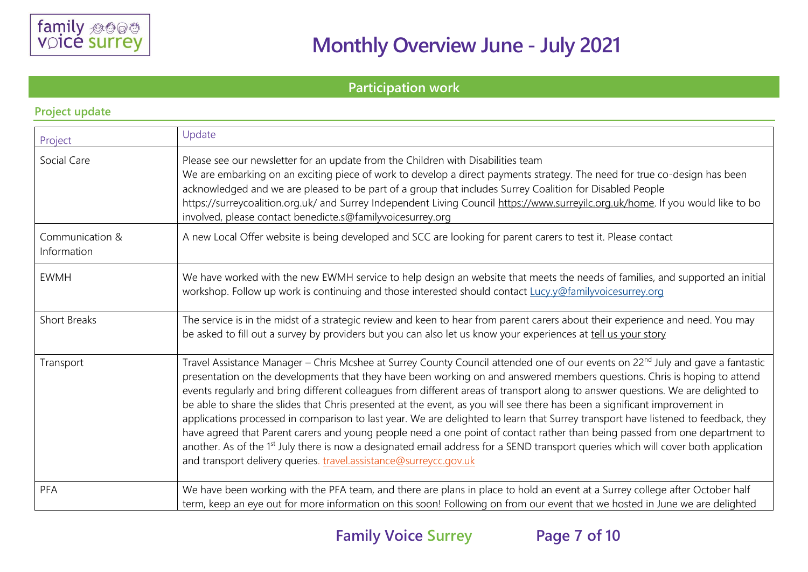

#### **Participation work**

| Project                        | Update                                                                                                                                                                                                                                                                                                                                                                                                                                                                                                                                                                                                                                                                                                                                                                                                                                                                                                                                                                                                                                |
|--------------------------------|---------------------------------------------------------------------------------------------------------------------------------------------------------------------------------------------------------------------------------------------------------------------------------------------------------------------------------------------------------------------------------------------------------------------------------------------------------------------------------------------------------------------------------------------------------------------------------------------------------------------------------------------------------------------------------------------------------------------------------------------------------------------------------------------------------------------------------------------------------------------------------------------------------------------------------------------------------------------------------------------------------------------------------------|
| Social Care                    | Please see our newsletter for an update from the Children with Disabilities team<br>We are embarking on an exciting piece of work to develop a direct payments strategy. The need for true co-design has been<br>acknowledged and we are pleased to be part of a group that includes Surrey Coalition for Disabled People<br>https://surreycoalition.org.uk/ and Surrey Independent Living Council https://www.surreyilc.org.uk/home. If you would like to bo<br>involved, please contact benedicte.s@familyvoicesurrey.org                                                                                                                                                                                                                                                                                                                                                                                                                                                                                                           |
| Communication &<br>Information | A new Local Offer website is being developed and SCC are looking for parent carers to test it. Please contact                                                                                                                                                                                                                                                                                                                                                                                                                                                                                                                                                                                                                                                                                                                                                                                                                                                                                                                         |
| <b>EWMH</b>                    | We have worked with the new EWMH service to help design an website that meets the needs of families, and supported an initial<br>workshop. Follow up work is continuing and those interested should contact Lucy.y@familyvoicesurrey.org                                                                                                                                                                                                                                                                                                                                                                                                                                                                                                                                                                                                                                                                                                                                                                                              |
| <b>Short Breaks</b>            | The service is in the midst of a strategic review and keen to hear from parent carers about their experience and need. You may<br>be asked to fill out a survey by providers but you can also let us know your experiences at tell us your story                                                                                                                                                                                                                                                                                                                                                                                                                                                                                                                                                                                                                                                                                                                                                                                      |
| Transport                      | Travel Assistance Manager - Chris Mcshee at Surrey County Council attended one of our events on 22 <sup>nd</sup> July and gave a fantastic<br>presentation on the developments that they have been working on and answered members questions. Chris is hoping to attend<br>events regularly and bring different colleagues from different areas of transport along to answer questions. We are delighted to<br>be able to share the slides that Chris presented at the event, as you will see there has been a significant improvement in<br>applications processed in comparison to last year. We are delighted to learn that Surrey transport have listened to feedback, they<br>have agreed that Parent carers and young people need a one point of contact rather than being passed from one department to<br>another. As of the 1 <sup>st</sup> July there is now a designated email address for a SEND transport queries which will cover both application<br>and transport delivery queries. travel.assistance@surreycc.gov.uk |
| PFA                            | We have been working with the PFA team, and there are plans in place to hold an event at a Surrey college after October half<br>term, keep an eye out for more information on this soon! Following on from our event that we hosted in June we are delighted                                                                                                                                                                                                                                                                                                                                                                                                                                                                                                                                                                                                                                                                                                                                                                          |

#### **Project update**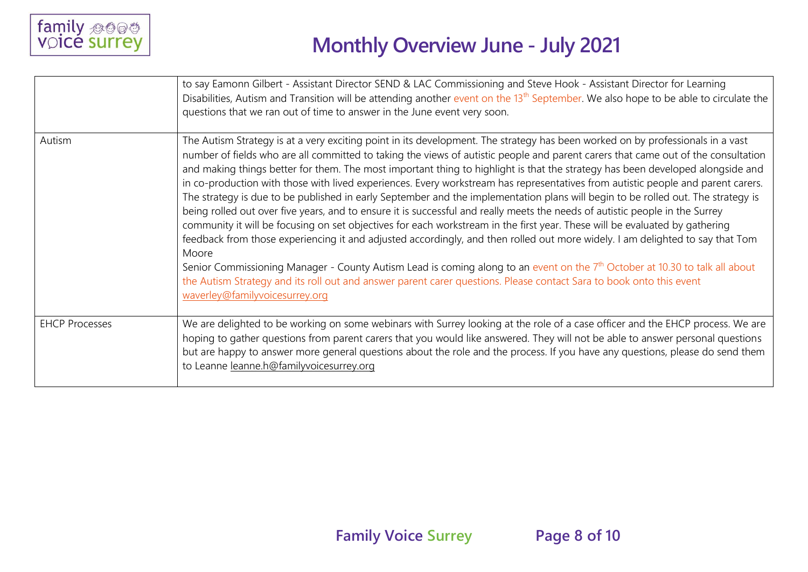

|                       | to say Eamonn Gilbert - Assistant Director SEND & LAC Commissioning and Steve Hook - Assistant Director for Learning<br>Disabilities, Autism and Transition will be attending another event on the 13 <sup>th</sup> September. We also hope to be able to circulate the<br>questions that we ran out of time to answer in the June event very soon.                                                                                                                                                                                                                                                                                                                                                                                                                                                                                                                                                                                                                                                                                                                                                                                                                                                                                                                                                                                                                                        |
|-----------------------|--------------------------------------------------------------------------------------------------------------------------------------------------------------------------------------------------------------------------------------------------------------------------------------------------------------------------------------------------------------------------------------------------------------------------------------------------------------------------------------------------------------------------------------------------------------------------------------------------------------------------------------------------------------------------------------------------------------------------------------------------------------------------------------------------------------------------------------------------------------------------------------------------------------------------------------------------------------------------------------------------------------------------------------------------------------------------------------------------------------------------------------------------------------------------------------------------------------------------------------------------------------------------------------------------------------------------------------------------------------------------------------------|
| Autism                | The Autism Strategy is at a very exciting point in its development. The strategy has been worked on by professionals in a vast<br>number of fields who are all committed to taking the views of autistic people and parent carers that came out of the consultation<br>and making things better for them. The most important thing to highlight is that the strategy has been developed alongside and<br>in co-production with those with lived experiences. Every workstream has representatives from autistic people and parent carers.<br>The strategy is due to be published in early September and the implementation plans will begin to be rolled out. The strategy is<br>being rolled out over five years, and to ensure it is successful and really meets the needs of autistic people in the Surrey<br>community it will be focusing on set objectives for each workstream in the first year. These will be evaluated by gathering<br>feedback from those experiencing it and adjusted accordingly, and then rolled out more widely. I am delighted to say that Tom<br>Moore<br>Senior Commissioning Manager - County Autism Lead is coming along to an event on the 7 <sup>th</sup> October at 10.30 to talk all about<br>the Autism Strategy and its roll out and answer parent carer questions. Please contact Sara to book onto this event<br>waverley@familyvoicesurrey.org |
| <b>EHCP Processes</b> | We are delighted to be working on some webinars with Surrey looking at the role of a case officer and the EHCP process. We are<br>hoping to gather questions from parent carers that you would like answered. They will not be able to answer personal questions<br>but are happy to answer more general questions about the role and the process. If you have any questions, please do send them<br>to Leanne leanne.h@familyvoicesurrey.org                                                                                                                                                                                                                                                                                                                                                                                                                                                                                                                                                                                                                                                                                                                                                                                                                                                                                                                                              |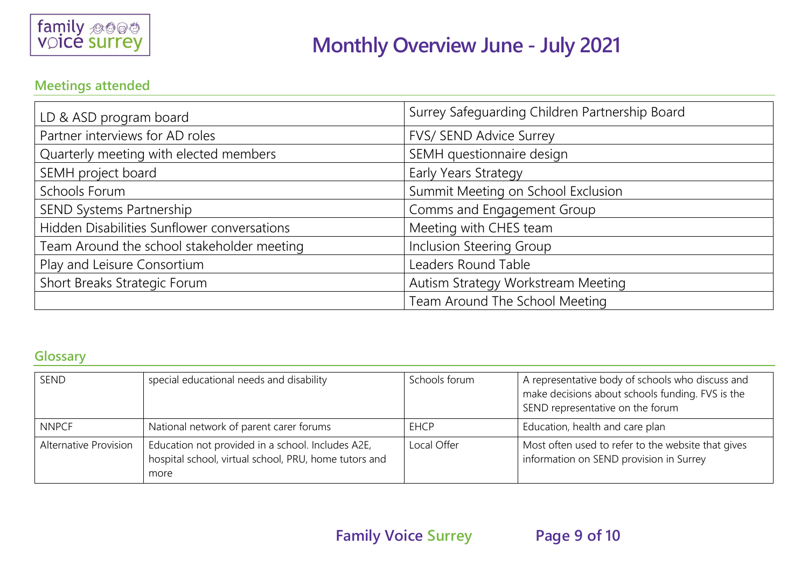

#### **Meetings attended**

| LD & ASD program board                      | Surrey Safeguarding Children Partnership Board |
|---------------------------------------------|------------------------------------------------|
| Partner interviews for AD roles             | FVS/ SEND Advice Surrey                        |
| Quarterly meeting with elected members      | SEMH questionnaire design                      |
| SEMH project board                          | Early Years Strategy                           |
| Schools Forum                               | Summit Meeting on School Exclusion             |
| SEND Systems Partnership                    | Comms and Engagement Group                     |
| Hidden Disabilities Sunflower conversations | Meeting with CHES team                         |
| Team Around the school stakeholder meeting  | Inclusion Steering Group                       |
| Play and Leisure Consortium                 | Leaders Round Table                            |
| Short Breaks Strategic Forum                | Autism Strategy Workstream Meeting             |
|                                             | Team Around The School Meeting                 |

#### **Glossary**

| SEND                  | special educational needs and disability                                                                           | Schools forum | A representative body of schools who discuss and<br>make decisions about schools funding. FVS is the<br>SEND representative on the forum |
|-----------------------|--------------------------------------------------------------------------------------------------------------------|---------------|------------------------------------------------------------------------------------------------------------------------------------------|
| <b>NNPCF</b>          | National network of parent carer forums                                                                            | <b>EHCP</b>   | Education, health and care plan                                                                                                          |
| Alternative Provision | Education not provided in a school. Includes A2E,<br>hospital school, virtual school, PRU, home tutors and<br>more | Local Offer   | Most often used to refer to the website that gives<br>information on SEND provision in Surrey                                            |